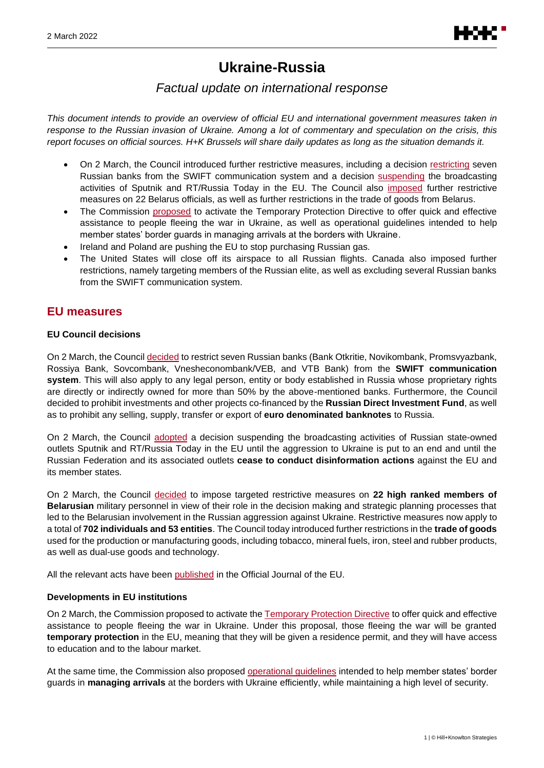# **Ukraine-Russia**

## *Factual update on international response*

*This document intends to provide an overview of official EU and international government measures taken in response to the Russian invasion of Ukraine. Among a lot of commentary and speculation on the crisis, this report focuses on official sources. H+K Brussels will share daily updates as long as the situation demands it.*

- On 2 March, the Council introduced further restrictive measures, including a decision [restricting](https://www.consilium.europa.eu/en/press/press-releases/2022/03/02/russia-s-military-aggression-against-ukraine-eu-bans-certain-russian-banks-from-swift-system-and-introduces-further-restrictions/) seven Russian banks from the SWIFT communication system and a decision [suspending](https://www.consilium.europa.eu/en/press/press-releases/2022/03/02/eu-imposes-sanctions-on-state-owned-outlets-rt-russia-today-and-sputnik-s-broadcasting-in-the-eu/) the broadcasting activities of Sputnik and RT/Russia Today in the EU. The Council also [imposed](https://www.consilium.europa.eu/en/press/press-releases/2022/03/02/belarus-role-in-the-russian-military-aggression-of-ukraine-council-imposes-sanctions-on-additional-22-individuals-and-further-restrictions-on-trade/?utm_source=dsms-auto&utm_medium=email&utm_campaign=Belarus%27+role+in+the+Russian+military+aggression+of+Ukraine%3a+Council+imposes+sanctions+on+additional+22+individuals+and+further+restrictions+on+trade) further restrictive measures on 22 Belarus officials, as well as further restrictions in the trade of goods from Belarus.
- The Commission [proposed](https://ec.europa.eu/home-affairs/proposal-council-implementing-decision-implementing-temporary-protection-directive_en) to activate the Temporary Protection Directive to offer quick and effective assistance to people fleeing the war in Ukraine, as well as operational guidelines intended to help member states' border guards in managing arrivals at the borders with Ukraine.
- Ireland and Poland are pushing the EU to stop purchasing Russian gas.
- The United States will close off its airspace to all Russian flights. Canada also imposed further restrictions, namely targeting members of the Russian elite, as well as excluding several Russian banks from the SWIFT communication system.

## **EU measures**

## **EU Council decisions**

On 2 March, the Counci[l decided](https://www.consilium.europa.eu/en/press/press-releases/2022/03/02/russia-s-military-aggression-against-ukraine-eu-bans-certain-russian-banks-from-swift-system-and-introduces-further-restrictions/) to restrict seven Russian banks (Bank Otkritie, Novikombank, Promsvyazbank, Rossiya Bank, Sovcombank, Vnesheconombank/VEB, and VTB Bank) from the **SWIFT communication system**. This will also apply to any legal person, entity or body established in Russia whose proprietary rights are directly or indirectly owned for more than 50% by the above-mentioned banks. Furthermore, the Council decided to prohibit investments and other projects co-financed by the **Russian Direct Investment Fund**, as well as to prohibit any selling, supply, transfer or export of **euro denominated banknotes** to Russia.

On 2 March, the Council [adopted](https://www.consilium.europa.eu/en/press/press-releases/2022/03/02/eu-imposes-sanctions-on-state-owned-outlets-rt-russia-today-and-sputnik-s-broadcasting-in-the-eu/) a decision suspending the broadcasting activities of Russian state-owned outlets Sputnik and RT/Russia Today in the EU until the aggression to Ukraine is put to an end and until the Russian Federation and its associated outlets **cease to conduct disinformation actions** against the EU and its member states.

On 2 March, the Council [decided](https://www.consilium.europa.eu/en/press/press-releases/2022/03/02/belarus-role-in-the-russian-military-aggression-of-ukraine-council-imposes-sanctions-on-additional-22-individuals-and-further-restrictions-on-trade/?utm_source=dsms-auto&utm_medium=email&utm_campaign=Belarus%27+role+in+the+Russian+military+aggression+of+Ukraine%3a+Council+imposes+sanctions+on+additional+22+individuals+and+further+restrictions+on+trade) to impose targeted restrictive measures on **22 high ranked members of Belarusian** military personnel in view of their role in the decision making and strategic planning processes that led to the Belarusian involvement in the Russian aggression against Ukraine. Restrictive measures now apply to a total of **702 individuals and 53 entities**. The Council today introduced further restrictions in the **trade of goods** used for the production or manufacturing goods, including tobacco, mineral fuels, iron, steel and rubber products, as well as dual-use goods and technology.

All the relevant acts have been [published](https://eur-lex.europa.eu/legal-content/EN/TXT/?uri=OJ:L:2022:063:TOC) in the Official Journal of the EU.

## **Developments in EU institutions**

On 2 March, the Commission proposed to activate th[e Temporary Protection Directive](https://ec.europa.eu/home-affairs/proposal-council-implementing-decision-implementing-temporary-protection-directive_en) to offer quick and effective assistance to people fleeing the war in Ukraine. Under this proposal, those fleeing the war will be granted **temporary protection** in the EU, meaning that they will be given a residence permit, and they will have access to education and to the labour market.

At the same time, the Commission also proposed operational quidelines intended to help member states' border guards in **managing arrivals** at the borders with Ukraine efficiently, while maintaining a high level of security.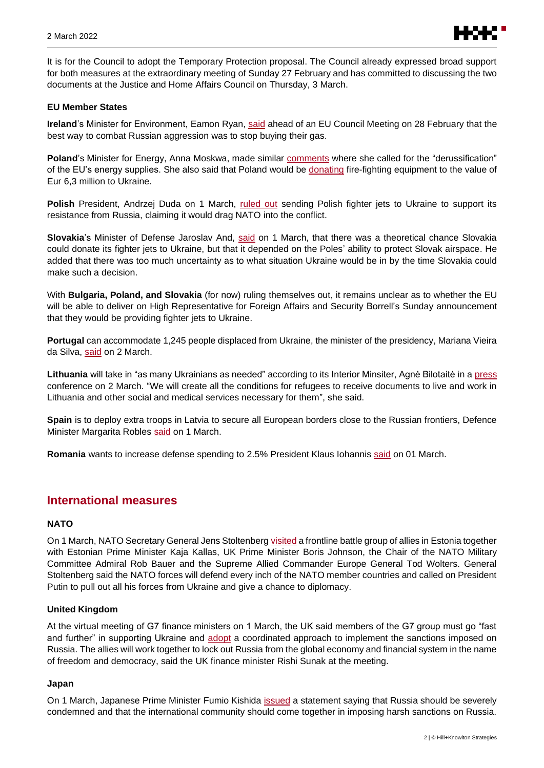

It is for the Council to adopt the Temporary Protection proposal. The Council already expressed broad support for both measures at the extraordinary meeting of Sunday 27 February and has committed to discussing the two documents at the Justice and Home Affairs Council on Thursday, 3 March.

#### **EU Member States**

**Ireland**'s Minister for Environment, Eamon Ryan[, said](https://twitter.com/EamonRyan/status/1498324330769432579) ahead of an EU Council Meeting on 28 February that the best way to combat Russian aggression was to stop buying their gas.

**Poland**'s Minister for Energy, Anna Moskwa, made similar [comments](https://twitter.com/moskwa_anna/status/1498379506683461636) where she called for the "derussification" of the EU's energy supplies. She also said that Poland would be [donating](https://twitter.com/moskwa_anna/status/1499024904032862215) fire-fighting equipment to the value of Eur 6,3 million to Ukraine.

Polish President, Andrzej Duda on 1 March, [ruled out](https://www.prezydent.pl/aktualnosci/wypowiedzi-prezydenta-rp/wystapienia/briefing-prezydenta-oraz-sekretarza-generalnego-nato,49643) sending Polish fighter jets to Ukraine to support its resistance from Russia, claiming it would drag NATO into the conflict.

**Slovakia**'s Minister of Defense Jaroslav And, [said](https://www.youtube.com/watch?v=ORSpPwsFhQM&t=905s) on 1 March, that there was a theoretical chance Slovakia could donate its fighter jets to Ukraine, but that it depended on the Poles' ability to protect Slovak airspace. He added that there was too much uncertainty as to what situation Ukraine would be in by the time Slovakia could make such a decision.

With **Bulgaria, Poland, and Slovakia** (for now) ruling themselves out, it remains unclear as to whether the EU will be able to deliver on High Representative for Foreign Affairs and Security Borrell's Sunday announcement that they would be providing fighter jets to Ukraine.

**Portugal** can accommodate 1,245 people displaced from Ukraine, the minister of the presidency, Mariana Vieira da Silva, [said](https://www.lusa.pt/article/35911397/portugal-we-can-take-in-1-245-displaced-ukrainians-government) on 2 March.

**Lithuania** will take in "as many Ukrainians as needed" according to its Interior Minsiter, Agnė Bilotaitė in a [press](https://vrm.lrv.lt/lt/naujienos/ministre-a-bilotaite-priimsime-ukrainieciu-tiek-kiek-reikes) conference on 2 March. "We will create all the conditions for refugees to receive documents to live and work in Lithuania and other social and medical services necessary for them", she said.

**Spain** is to deploy extra troops in Latvia to secure all European borders close to the Russian frontiers, Defence Minister Margarita Robles [said](https://www.defensa.gob.es/gabinete/notasPrensa/2022/03/DGC-220301-letonia.html) on 1 March.

**Romania** wants to increase defense spending to 2.5% President Klaus Iohannis [said](https://twitter.com/KlausIohannis/status/1498676487746207754?ref_src=twsrc%5Egoogle%7Ctwcamp%5Eserp%7Ctwgr%5Etweet) on 01 March.

## **International measures**

#### **NATO**

On 1 March, NATO Secretary General Jens Stoltenberg visited a frontline battle group of allies in Estonia together with Estonian Prime Minister Kaja Kallas, UK Prime Minister Boris Johnson, the Chair of the NATO Military Committee Admiral Rob Bauer and the Supreme Allied Commander Europe General Tod Wolters. General Stoltenberg said the NATO forces will defend every inch of the NATO member countries and called on President Putin to pull out all his forces from Ukraine and give a chance to diplomacy.

#### **United Kingdom**

At the virtual meeting of G7 finance ministers on 1 March, the UK said members of the G7 group must go "fast and further" in supporting Ukraine and [adopt](https://www.gov.uk/government/news/rishi-sunak-calls-on-g7-finance-ministers-and-central-bank-governors-to-go-faster-and-further-in-support-of-ukraine) a coordinated approach to implement the sanctions imposed on Russia. The allies will work together to lock out Russia from the global economy and financial system in the name of freedom and democracy, said the UK finance minister Rishi Sunak at the meeting.

#### **Japan**

On 1 March, Japanese Prime Minister Fumio Kishida *issued* a statement saying that Russia should be severely condemned and that the international community should come together in imposing harsh sanctions on Russia.